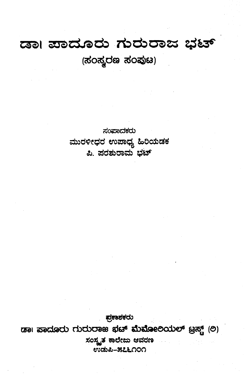## **C33>l 33c>C&/®db TbdbOSSS 2 ^ ^**  $($ ಸಂಸ್ಕರಣ ಸಂಪುಟ)

ಸಂಪಾದಕರು **s±ods?etfd wsroQjj S©eo£d3** *ಪಿ.* ಪರಶುರಾಮ ಬಟ್

ಪ್ರಕಾಶಕರು **tssi sssdsadb dbdbasas ^&3® stoetoeeodbe?6 gag (O)** ಸಂಸ್ಕೃತ ಕಾಲೇಜು ಆವರಣ ert>c&&-as&LOOO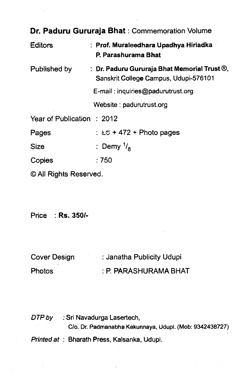| Dr. Paduru Gururaja Bhat: Commemoration Volume |                                                                                                      |  |
|------------------------------------------------|------------------------------------------------------------------------------------------------------|--|
| <b>Editors</b>                                 | : Prof. Muraleedhara Upadhya Hiriadka<br>P. Parashurama Bhat                                         |  |
| Published by                                   | : Dr. Paduru Gururaja Bhat Memorial Trust $\mathcal{D}_n$ ,<br>Sanskrit College Campus, Udupi-576101 |  |
|                                                | E-mail: inquiries@padurutrust.org                                                                    |  |
|                                                | Website: padurutrust.org                                                                             |  |
| Year of Publication : 2012                     |                                                                                                      |  |
| Pages                                          | : $\approx$ + 472 + Photo pages                                                                      |  |
| Size                                           | : Demy $\frac{1}{2}$                                                                                 |  |
| Copies                                         | :750                                                                                                 |  |
| © All Rights Reserved.                         |                                                                                                      |  |

Price : **Rs. 350/-**

| Cover Design  | : Janatha Publicity Udupi |
|---------------|---------------------------|
| <b>Photos</b> | : P. PARASHURAMA BHAT     |

*DTP by* : Sri Navadurga Lasertech, **C/o. Dr. Padmanabha Kekunnaya, Udupi. (Mob: 9342438727)** *Printed at :* Bharath Press, Kalsanka, Udupi.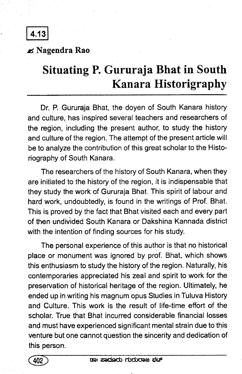**4.13**

*jbS* Nagendra Rao

## **Situating P. Gururaja Bhat in South Kanara Historigraphy**

Dr. P. Gururaja Bhat, the doyen of South Kanara history and culture, has inspired several teachers and researchers of the region, including the present author, to study the history and culture of the region. The attempt of the present article will be to analyze the contribution of this great scholar to the Historiography of South Kanara.

The researchers of the history of South Kanara, when they are initiated to the history of the region, it is indispensable that they study the work of Gururaja Bhat. This spirit of labour and hard work, undoubtedly, is found in the writings of Prof. Bhat. This is proved by the fact that Bhat visited each and every part of then undivided South Kanara or Dakshina Kannada district with the intention of finding sources for his study.

The personal experience of this author is that no historical place or monument was ignored by prof. Bhat, which shows this enthusiasm to study the history of the region. Naturally, his contemporaries appreciated his zeal and spirit to work for the preservation of historical heritage of the region. Ultimately, he ended up in writing his magnum opus Studies in Tuluva History and Culture. This work is the result of life-time effort of the scholar. True that Bhat incurred considerable financial losses and must have experienced significant mental strain due to this venture but one cannot question the sincerity and dedication of this person.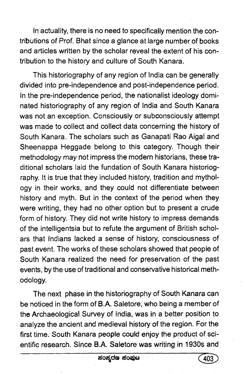In actuality, there is no need to specifically mention the contributions of *Prof.* Bhat since a glance at large number of books and articles written by the scholar reveal the extent of his contribution to the history and culture of South Kanara.

This historiography of any region of India can be generally divided into pre-independence and post-independence period. In the pre-independence period, the nationalist ideology dominated historiography of any region of India and South Kanara was not an exception. Consciously or subconsciously attempt was made to collect and collect data concerning the history of South Kanara. The scholars such as Ganapati Rao Aigal and Sheenappa Heggade belong to this category. Though their methodology may not impress the modern historians, these traditional scholars laid the fundation of South Kanara historiography. It is true that they included history, tradition and mythology in their works, and they could not differentiate between history and myth. But in the context of the period when they were writing, they had no other option but to present a crude form of history. They did not write history to impress demands of the intelligentsia but to refute the argument of British scholars that Indians lacked a sense of history, consciousness of past event. The works of these scholars showed that people of South Kanara realized the need for preservation of the past events, by the use of traditional and conservative historical methodology.

The next phase in the historiography of South Kanara can be noticed in the form of B.A. Safetore, who being a member of the Archaeological Survey of India, was in a better position to analyze the ancient and medieval history of the region. For the first time. South Kanara people could enjoy the product of scientific research. Since B.A. Saletore was writing in 1930s and

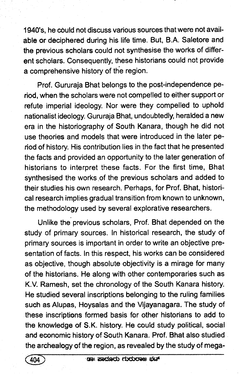1940's, he could not discuss various sources that were not available or deciphered during his life time. But, B.A. Saletore and the previous scholars could not synthesise the works of different scholars. Consequently, these historians could not provide a comprehensive history of the region.

Prof. Gururaja Bhat belongs to the post-independence period, when the scholars were not compelled to either support or refute imperial ideology. Nor were they compelled to uphold nationalist ideology. Gururaja Bhat, undoubtedly, heralded a new era in the historiography of South Kanara, though he did not use theories and models that were introduced in the later period of history. His contribution lies in the fact that he presented the facts and provided an opportunity to the later generation of historians to interpret these facts. For the first time, Bhat synthesised the works of the previous scholars and added to their studies his own research. Perhaps, for Prof. Bhat, historical research implies gradual transition from known to unknown, the methodology used by several explorative researchers.

Unlike the previous scholars, Prof. Bhat depended on the study of primary sources. In historical research, the study of primary sources is important in order to write an objective presentation of facts. In this respect, his works can be considered as objective, though absolute objectivity is a mirage for many of the historians. He along with other contemporaries such as K.V. Ramesh, set the chronology of the South Kanara history. He studied several inscriptions belonging to the ruling families such as Alupas, Hoysalas and the Vijayanagara. The study of these inscriptions formed basis for other historians to add to the knowledge of S.K. history. He could study political, social and economic history of South Kanara. Prof. Bhat also studied. the archealogy of the region, as revealed by the study of mega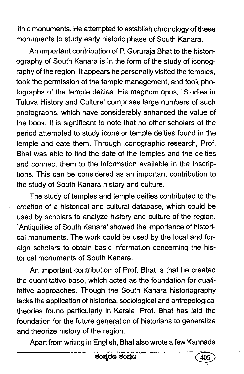lithic monuments. He attempted to establish chronology of these monuments to study early historic phase of South Kanara.

An important contribution of P. Gururaja Bhat to the historiography of South Kanara is in the form of the study of iconography of the region. It appears he personally visited the temples, took the permission of the temple management, and took photographs of the temple deities. His magnum opus, 'Studies in Tuluva History and Culture' comprises large numbers of such photographs, which have considerably enhanced the value of the book. It is significant to note that no other scholars of the period attempted to study icons or temple deities found in the temple and date them. Through iconographic research, Prof. Bhat was able to find the date of the temples and the deities and connect them to the information available in the inscriptions. This can be considered as an important contribution to the study of South Kanara history and culture.

The study of temples and temple deities contributed to the creation of a historical and cultural database, which could be used by scholars to analyze history and culture of the region. 'Antiquities of South Kanara' showed the importance of historical monuments. The work could be used by the local and foreign scholars to obtain basic information concerning the historical monuments of South Kanara.

An important contribution of Prof. Bhat is that he created the quantitative base, which acted as the foundation for qualitative approaches. Though the South Kanara historiography lacks the application of historica, sociological and antropological theories found particularly in Kerala. Prof. Bhat has laid the foundation for the future generation of historians to generalize and theorize history of the region.

Apart from writing in English, Bhat also wrote a few Kannada